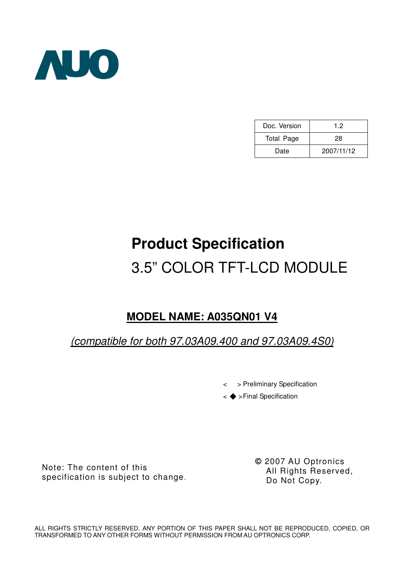

| Doc. Version | 1.2        |
|--------------|------------|
| Total Page   | 28         |
| Date         | 2007/11/12 |

# **Product Specification**  3.5" COLOR TFT-LCD MODULE

# **MODEL NAME: A035QN01 V4**

(compatible for both 97.03A09.400 and 97.03A09.4S0)

< > Preliminary Specification

< >Final Specification

Note: The content of this specification is subject to change. **©** 2007 AU Optronics All Rights Reserved, Do Not Copy.

ALL RIGHTS STRICTLY RESERVED. ANY PORTION OF THIS PAPER SHALL NOT BE REPRODUCED, COPIED, OR TRANSFORMED TO ANY OTHER FORMS WITHOUT PERMISSION FROM AU OPTRONICS CORP.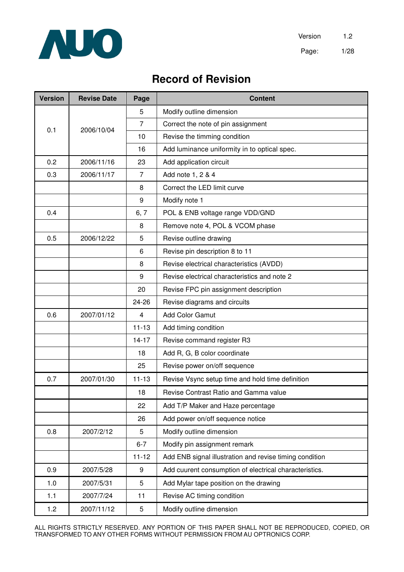

# **Record of Revision**

| <b>Version</b> | <b>Revise Date</b> | Page           | <b>Content</b>                                          |  |  |
|----------------|--------------------|----------------|---------------------------------------------------------|--|--|
|                |                    | 5              | Modify outline dimension                                |  |  |
| 0.1            | 2006/10/04         | $\overline{7}$ | Correct the note of pin assignment                      |  |  |
| 10             |                    |                | Revise the timming condition                            |  |  |
|                |                    | 16             | Add luminance uniformity in to optical spec.            |  |  |
| 0.2            | 2006/11/16         | 23             | Add application circuit                                 |  |  |
| 0.3            | 2006/11/17         | $\overline{7}$ | Add note 1, 2 & 4                                       |  |  |
|                |                    | 8              | Correct the LED limit curve                             |  |  |
|                |                    | 9              | Modify note 1                                           |  |  |
| 0.4            |                    | 6, 7           | POL & ENB voltage range VDD/GND                         |  |  |
|                |                    | 8              | Remove note 4, POL & VCOM phase                         |  |  |
| 0.5            | 2006/12/22         | 5              | Revise outline drawing                                  |  |  |
|                |                    | 6              | Revise pin description 8 to 11                          |  |  |
|                |                    | 8              | Revise electrical characteristics (AVDD)                |  |  |
|                |                    | 9              | Revise electrical characteristics and note 2            |  |  |
|                |                    | 20             | Revise FPC pin assignment description                   |  |  |
|                |                    | 24-26          | Revise diagrams and circuits                            |  |  |
| 0.6            | 2007/01/12         | 4              | <b>Add Color Gamut</b>                                  |  |  |
|                |                    | $11 - 13$      | Add timing condition                                    |  |  |
|                |                    | $14 - 17$      | Revise command register R3                              |  |  |
|                |                    | 18             | Add R, G, B color coordinate                            |  |  |
|                |                    | 25             | Revise power on/off sequence                            |  |  |
| 0.7            | 2007/01/30         | $11 - 13$      | Revise Vsync setup time and hold time definition        |  |  |
|                |                    | 18             | Revise Contrast Ratio and Gamma value                   |  |  |
|                |                    | 22             | Add T/P Maker and Haze percentage                       |  |  |
|                |                    | 26             | Add power on/off sequence notice                        |  |  |
| 0.8            | 2007/2/12          | 5              | Modify outline dimension                                |  |  |
|                |                    | $6 - 7$        | Modify pin assignment remark                            |  |  |
|                |                    | $11 - 12$      | Add ENB signal illustration and revise timing condition |  |  |
| 0.9            | 2007/5/28          | 9              | Add cuurent consumption of electrical characteristics.  |  |  |
| 1.0            | 2007/5/31          | 5              | Add Mylar tape position on the drawing                  |  |  |
| 1.1            | 2007/7/24          | 11             | Revise AC timing condition                              |  |  |
| 1.2            | 2007/11/12         | 5              | Modify outline dimension                                |  |  |

ALL RIGHTS STRICTLY RESERVED. ANY PORTION OF THIS PAPER SHALL NOT BE REPRODUCED, COPIED, OR TRANSFORMED TO ANY OTHER FORMS WITHOUT PERMISSION FROM AU OPTRONICS CORP.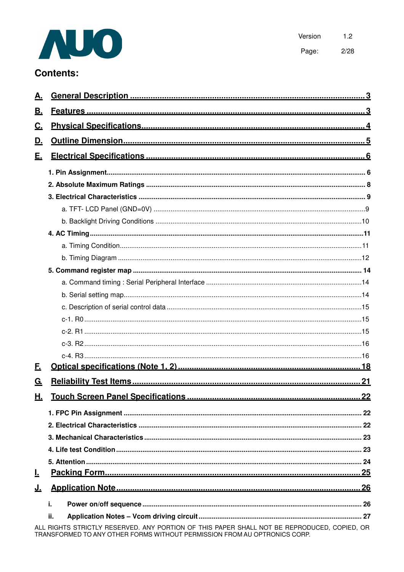

Version  $1.2$ Page:  $2/28$ 

# **Contents:**

| А.        |                                                                                                                                                                          |  |  |  |  |  |  |  |  |
|-----------|--------------------------------------------------------------------------------------------------------------------------------------------------------------------------|--|--|--|--|--|--|--|--|
| В.        |                                                                                                                                                                          |  |  |  |  |  |  |  |  |
| <u>C.</u> |                                                                                                                                                                          |  |  |  |  |  |  |  |  |
| <u>D.</u> |                                                                                                                                                                          |  |  |  |  |  |  |  |  |
| <u>E.</u> |                                                                                                                                                                          |  |  |  |  |  |  |  |  |
|           |                                                                                                                                                                          |  |  |  |  |  |  |  |  |
|           |                                                                                                                                                                          |  |  |  |  |  |  |  |  |
|           |                                                                                                                                                                          |  |  |  |  |  |  |  |  |
|           |                                                                                                                                                                          |  |  |  |  |  |  |  |  |
|           |                                                                                                                                                                          |  |  |  |  |  |  |  |  |
|           |                                                                                                                                                                          |  |  |  |  |  |  |  |  |
|           |                                                                                                                                                                          |  |  |  |  |  |  |  |  |
|           |                                                                                                                                                                          |  |  |  |  |  |  |  |  |
|           |                                                                                                                                                                          |  |  |  |  |  |  |  |  |
|           |                                                                                                                                                                          |  |  |  |  |  |  |  |  |
|           |                                                                                                                                                                          |  |  |  |  |  |  |  |  |
|           |                                                                                                                                                                          |  |  |  |  |  |  |  |  |
|           |                                                                                                                                                                          |  |  |  |  |  |  |  |  |
|           |                                                                                                                                                                          |  |  |  |  |  |  |  |  |
|           |                                                                                                                                                                          |  |  |  |  |  |  |  |  |
|           |                                                                                                                                                                          |  |  |  |  |  |  |  |  |
| F.        |                                                                                                                                                                          |  |  |  |  |  |  |  |  |
| <u>G.</u> |                                                                                                                                                                          |  |  |  |  |  |  |  |  |
| Щ.        |                                                                                                                                                                          |  |  |  |  |  |  |  |  |
|           |                                                                                                                                                                          |  |  |  |  |  |  |  |  |
|           |                                                                                                                                                                          |  |  |  |  |  |  |  |  |
|           |                                                                                                                                                                          |  |  |  |  |  |  |  |  |
|           |                                                                                                                                                                          |  |  |  |  |  |  |  |  |
|           |                                                                                                                                                                          |  |  |  |  |  |  |  |  |
| Ŀ         |                                                                                                                                                                          |  |  |  |  |  |  |  |  |
| <u>J.</u> |                                                                                                                                                                          |  |  |  |  |  |  |  |  |
|           | j.                                                                                                                                                                       |  |  |  |  |  |  |  |  |
|           | ii.                                                                                                                                                                      |  |  |  |  |  |  |  |  |
|           | ALL RIGHTS STRICTLY RESERVED. ANY PORTION OF THIS PAPER SHALL NOT BE REPRODUCED, COPIED. OR<br>TRANSFORMED TO ANY OTHER FORMS WITHOUT PERMISSION FROM AU OPTRONICS CORP. |  |  |  |  |  |  |  |  |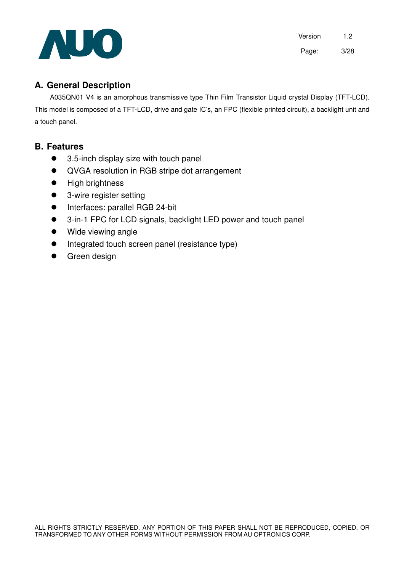

Version 1.2 Page: 3/28

# **A. General Description**

A035QN01 V4 is an amorphous transmissive type Thin Film Transistor Liquid crystal Display (TFT-LCD). This model is composed of a TFT-LCD, drive and gate IC's, an FPC (flexible printed circuit), a backlight unit and a touch panel.

### **B. Features**

- 3.5-inch display size with touch panel
- QVGA resolution in RGB stripe dot arrangement
- **•** High brightness
- 3-wire register setting
- **•** Interfaces: parallel RGB 24-bit
- 3-in-1 FPC for LCD signals, backlight LED power and touch panel
- Wide viewing angle
- Integrated touch screen panel (resistance type)
- Green design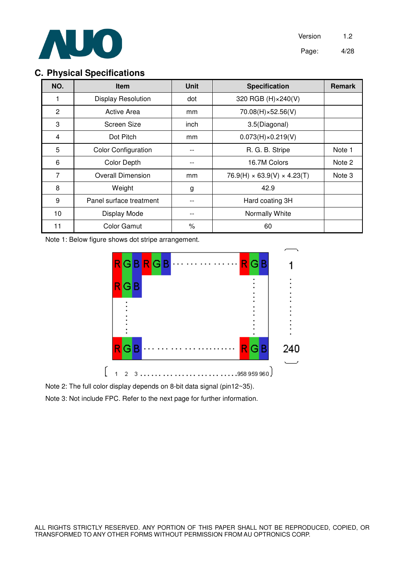

# **C. Physical Specifications**

| NO.            | <b>Item</b>                | <b>Unit</b> | <b>Specification</b>                    | <b>Remark</b> |
|----------------|----------------------------|-------------|-----------------------------------------|---------------|
| 1              | <b>Display Resolution</b>  | dot         | 320 RGB (H) × 240(V)                    |               |
| $\overline{2}$ | <b>Active Area</b>         | mm          | 70.08(H)×52.56(V)                       |               |
| 3              | Screen Size                | inch        | 3.5(Diagonal)                           |               |
| 4              | Dot Pitch                  | mm          | $0.073(H) \times 0.219(V)$              |               |
| 5              | <b>Color Configuration</b> |             | R. G. B. Stripe                         | Note 1        |
| 6              | <b>Color Depth</b>         |             | 16.7M Colors                            | Note 2        |
| 7              | <b>Overall Dimension</b>   | mm          | $76.9(H) \times 63.9(V) \times 4.23(T)$ | Note 3        |
| 8              | Weight                     | g           | 42.9                                    |               |
| 9              | Panel surface treatment    |             | Hard coating 3H                         |               |
| 10             | Display Mode               |             | Normally White                          |               |
| 11             | <b>Color Gamut</b>         | $\%$        | 60                                      |               |

Note 1: Below figure shows dot stripe arrangement.



Note 2: The full color display depends on 8-bit data signal (pin12~35).

Note 3: Not include FPC. Refer to the next page for further information.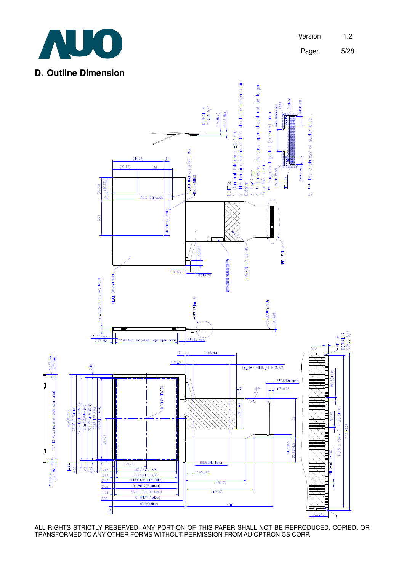

# **D. Outline Dimension**



ALL RIGHTS STRICTLY RESERVED. ANY PORTION OF THIS PAPER SHALL NOT BE REPRODUCED, COPIED, OR TRANSFORMED TO ANY OTHER FORMS WITHOUT PERMISSION FROM AU OPTRONICS CORP.

Page: 5/28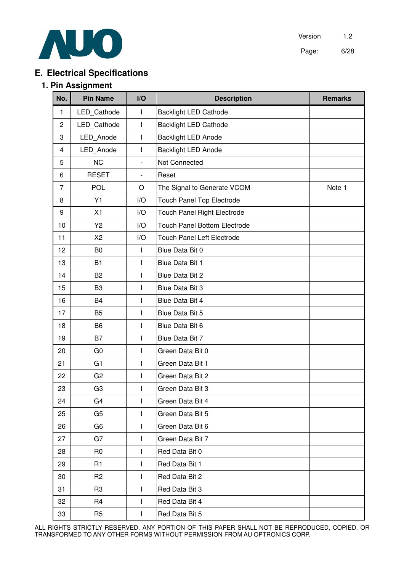

Version 1.2 Page: 6/28

# **E. Electrical Specifications**

#### **1. Pin Assignment**

| No.              | <b>Pin Name</b> | I/O                      | <b>Description</b>                  | <b>Remarks</b> |
|------------------|-----------------|--------------------------|-------------------------------------|----------------|
| 1                | LED_Cathode     | I                        | <b>Backlight LED Cathode</b>        |                |
| $\mathbf{2}$     | LED_Cathode     | $\mathsf I$              | <b>Backlight LED Cathode</b>        |                |
| 3                | LED Anode       | I                        | <b>Backlight LED Anode</b>          |                |
| 4                | LED_Anode       | I                        | <b>Backlight LED Anode</b>          |                |
| 5                | <b>NC</b>       | $\frac{1}{2}$            | Not Connected                       |                |
| 6                | <b>RESET</b>    | $\overline{\phantom{a}}$ | Reset                               |                |
| $\overline{7}$   | POL             | O                        | The Signal to Generate VCOM         | Note 1         |
| 8                | Y1              | I/O                      | <b>Touch Panel Top Electrode</b>    |                |
| $\boldsymbol{9}$ | X1              | I/O                      | Touch Panel Right Electrode         |                |
| 10               | Y2              | I/O                      | <b>Touch Panel Bottom Electrode</b> |                |
| 11               | X2              | I/O                      | <b>Touch Panel Left Electrode</b>   |                |
| 12               | B <sub>0</sub>  | T                        | Blue Data Bit 0                     |                |
| 13               | <b>B1</b>       | I                        | Blue Data Bit 1                     |                |
| 14               | B <sub>2</sub>  | I                        | Blue Data Bit 2                     |                |
| 15               | B <sub>3</sub>  | I                        | Blue Data Bit 3                     |                |
| 16               | <b>B4</b>       | I                        | Blue Data Bit 4                     |                |
| 17               | B <sub>5</sub>  | T                        | Blue Data Bit 5                     |                |
| 18               | <b>B6</b>       | I                        | Blue Data Bit 6                     |                |
| 19               | B7              | I                        | Blue Data Bit 7                     |                |
| 20               | G <sub>0</sub>  | I                        | Green Data Bit 0                    |                |
| 21               | G <sub>1</sub>  | I                        | Green Data Bit 1                    |                |
| 22               | G <sub>2</sub>  | $\mathsf{I}$             | Green Data Bit 2                    |                |
| 23               | G <sub>3</sub>  | I                        | Green Data Bit 3                    |                |
| 24               | G4              | I                        | Green Data Bit 4                    |                |
| 25               | G <sub>5</sub>  | T                        | Green Data Bit 5                    |                |
| 26               | G <sub>6</sub>  | I                        | Green Data Bit 6                    |                |
| 27               | G7              | L                        | Green Data Bit 7                    |                |
| 28               | R <sub>0</sub>  | I                        | Red Data Bit 0                      |                |
| 29               | R <sub>1</sub>  | L                        | Red Data Bit 1                      |                |
| 30               | R <sub>2</sub>  | ı                        | Red Data Bit 2                      |                |
| 31               | R <sub>3</sub>  | I                        | Red Data Bit 3                      |                |
| 32               | R <sub>4</sub>  | I                        | Red Data Bit 4                      |                |
| 33               | R <sub>5</sub>  | I                        | Red Data Bit 5                      |                |

ALL RIGHTS STRICTLY RESERVED. ANY PORTION OF THIS PAPER SHALL NOT BE REPRODUCED, COPIED, OR TRANSFORMED TO ANY OTHER FORMS WITHOUT PERMISSION FROM AU OPTRONICS CORP.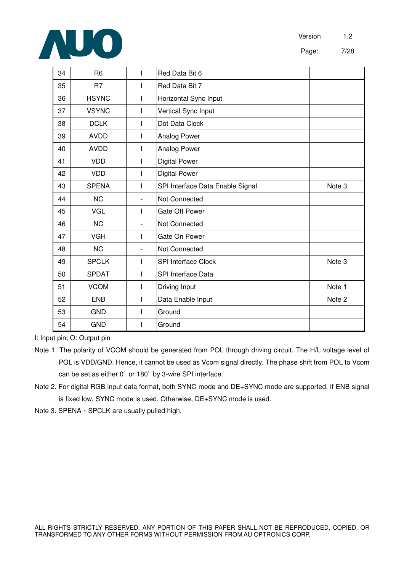

Page: 7/28

| 34 | R <sub>6</sub> | T                        | Red Data Bit 6                   |        |
|----|----------------|--------------------------|----------------------------------|--------|
| 35 | R <sub>7</sub> |                          | Red Data Bit 7                   |        |
| 36 | <b>HSYNC</b>   | ı                        | Horizontal Sync Input            |        |
| 37 | <b>VSYNC</b>   | $\mathbf{I}$             | Vertical Sync Input              |        |
| 38 | <b>DCLK</b>    | I                        | Dot Data Clock                   |        |
| 39 | <b>AVDD</b>    | I                        | Analog Power                     |        |
| 40 | <b>AVDD</b>    |                          | Analog Power                     |        |
| 41 | <b>VDD</b>     | $\mathsf{l}$             | <b>Digital Power</b>             |        |
| 42 | <b>VDD</b>     |                          | <b>Digital Power</b>             |        |
| 43 | <b>SPENA</b>   |                          | SPI Interface Data Enable Signal | Note 3 |
| 44 | <b>NC</b>      | $\overline{\phantom{a}}$ | <b>Not Connected</b>             |        |
| 45 | VGL            | I                        | Gate Off Power                   |        |
| 46 | <b>NC</b>      | $\blacksquare$           | Not Connected                    |        |
| 47 | <b>VGH</b>     | T                        | Gate On Power                    |        |
| 48 | <b>NC</b>      | $\overline{\phantom{a}}$ | <b>Not Connected</b>             |        |
| 49 | <b>SPCLK</b>   | I                        | <b>SPI Interface Clock</b>       | Note 3 |
| 50 | <b>SPDAT</b>   | $\mathsf{l}$             | SPI Interface Data               |        |
| 51 | <b>VCOM</b>    | I                        | Driving Input                    | Note 1 |
| 52 | <b>ENB</b>     | $\mathsf{l}$             | Data Enable Input                | Note 2 |
| 53 | <b>GND</b>     |                          | Ground                           |        |
| 54 | <b>GND</b>     |                          | Ground                           |        |

I: Input pin; O: Output pin

Note 1. The polarity of VCOM should be generated from POL through driving circuit. The H/L voltage level of POL is VDD/GND. Hence, it cannot be used as Vcom signal directly. The phase shift from POL to Vcom can be set as either 0° or 180° by 3-wire SPI interface.

Note 2. For digital RGB input data format, both SYNC mode and DE+SYNC mode are supported. If ENB signal is fixed low, SYNC mode is used. Otherwise, DE+SYNC mode is used.

Note 3. SPENA  $\cdot$  SPCLK are usually pulled high.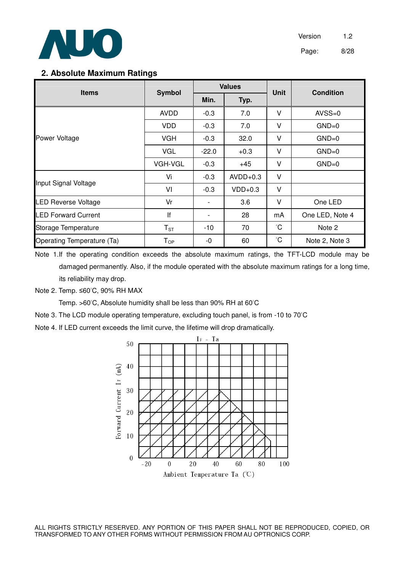

#### **2. Absolute Maximum Ratings**

| <b>Items</b>               | <b>Symbol</b>              |                | <b>Values</b> | <b>Unit</b> | <b>Condition</b> |  |
|----------------------------|----------------------------|----------------|---------------|-------------|------------------|--|
|                            |                            | Min.           | Typ.          |             |                  |  |
|                            | AVDD                       | $-0.3$         | 7.0           | v           | $AVSS=0$         |  |
|                            | <b>VDD</b>                 | $-0.3$         | 7.0           | v           | $GND=0$          |  |
| Power Voltage              | <b>VGH</b>                 | $-0.3$         | 32.0          | V           | $GND=0$          |  |
|                            | <b>VGL</b>                 | $-22.0$        | $+0.3$        | V           | $GND=0$          |  |
|                            | <b>VGH-VGL</b>             | $-0.3$         | $+45$         | ٧           | $GND=0$          |  |
|                            | Vi                         | $-0.3$         | $AVDD+0.3$    | V           |                  |  |
| Input Signal Voltage       | VI                         | $-0.3$         | $VDD+0.3$     | $\vee$      |                  |  |
| <b>LED Reverse Voltage</b> | Vr                         |                | 3.6           | v           | One LED          |  |
| <b>LED Forward Current</b> | If                         | $\blacksquare$ | 28            | mA          | One LED, Note 4  |  |
| Storage Temperature        | $T_{ST}$                   | $-10$          | 70            | °C          | Note 2           |  |
| Operating Temperature (Ta) | $\mathsf{T}_{\mathsf{OP}}$ | -0             | 60            | °С          | Note 2, Note 3   |  |

Note 1.If the operating condition exceeds the absolute maximum ratings, the TFT-LCD module may be damaged permanently. Also, if the module operated with the absolute maximum ratings for a long time, its reliability may drop.

Note 2. Temp. ≤60°C, 90% RH MAX

Temp. >60°C, Absolute humidity shall be less than 90% RH at 60°C

Note 3. The LCD module operating temperature, excluding touch panel, is from -10 to 70°C

Note 4. If LED current exceeds the limit curve, the lifetime will drop dramatically.



ALL RIGHTS STRICTLY RESERVED. ANY PORTION OF THIS PAPER SHALL NOT BE REPRODUCED, COPIED, OR TRANSFORMED TO ANY OTHER FORMS WITHOUT PERMISSION FROM AU OPTRONICS CORP.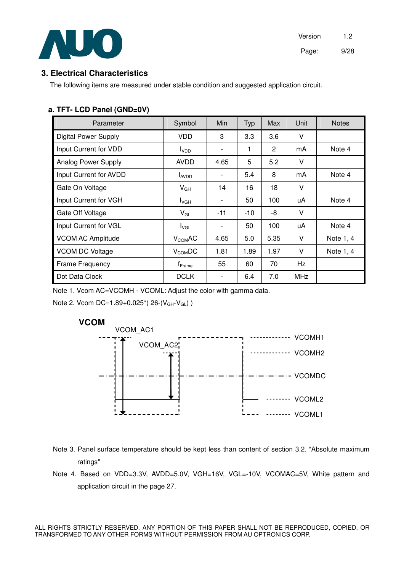

### **3. Electrical Characteristics**

The following items are measured under stable condition and suggested application circuit.

#### **a. TFT- LCD Panel (GND=0V)**

| Parameter                   | Symbol                        | Min                          | <b>Typ</b> | Max            | Unit       | <b>Notes</b> |
|-----------------------------|-------------------------------|------------------------------|------------|----------------|------------|--------------|
| <b>Digital Power Supply</b> | VDD                           | 3                            | 3.3        | 3.6            | V          |              |
| Input Current for VDD       | I <sub>VDD</sub>              | -                            | 1          | $\overline{2}$ | mA         | Note 4       |
| Analog Power Supply         | <b>AVDD</b>                   | 4.65                         | 5          | 5.2            | V          |              |
| Input Current for AVDD      | <b>LAVDD</b>                  | -                            | 5.4        | 8              | mA         | Note 4       |
| Gate On Voltage             | $V_{GH}$                      | 14                           | 16         | 18             | v          |              |
| Input Current for VGH       | $I_{\mathsf{VGH}}$            | -                            | 50         | 100            | uA         | Note 4       |
| Gate Off Voltage            | $V_{GL}$                      | $-11$                        | -10        | -8             | V          |              |
| Input Current for VGL       | $I_{\text{VGL}}$              | $\qquad \qquad \blacksquare$ | 50         | 100            | uA         | Note 4       |
| <b>VCOM AC Amplitude</b>    | $V_{COM}$ AC                  | 4.65                         | 5.0        | 5.35           | V          | Note 1, 4    |
| <b>VCOM DC Voltage</b>      | $V_{COM}$ DC                  | 1.81                         | 1.89       | 1.97           | V          | Note 1, 4    |
| Frame Frequency             | $\mathsf{f}_{\mathsf{Frame}}$ | 55                           | 60         | 70             | Hz         |              |
| Dot Data Clock              | <b>DCLK</b>                   |                              | 6.4        | 7.0            | <b>MHz</b> |              |

Note 1. Vcom AC=VCOMH - VCOML: Adjust the color with gamma data.

Note 2. Vcom DC=1.89+0.025\*( $26-(V_{GH}-V_{GL})$ )



Note 3. Panel surface temperature should be kept less than content of section 3.2. "Absolute maximum ratings"

Note 4. Based on VDD=3.3V, AVDD=5.0V, VGH=16V, VGL=-10V, VCOMAC=5V, White pattern and application circuit in the page 27.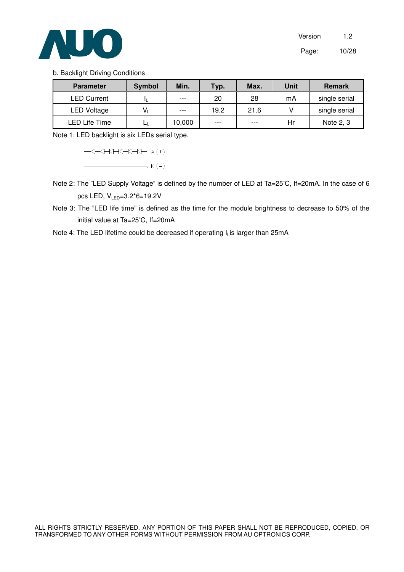

#### b. Backlight Driving Conditions

| <b>Parameter</b>   | <b>Symbol</b> | Min.   | Typ. | Max. | Unit | <b>Remark</b> |
|--------------------|---------------|--------|------|------|------|---------------|
| <b>LED Current</b> |               | $---$  | 20   | 28   | mA   | single serial |
| <b>LED Voltage</b> | V,            | $---$  | 19.2 | 21.6 |      | single serial |
| LED Life Time      | ப             | 10,000 | ---  | ---  | Hr   | Note 2, 3     |

Note 1: LED backlight is six LEDs serial type.

 $\uparrow\downarrow\uparrow\downarrow\uparrow\downarrow\uparrow\downarrow\downarrow\uparrow\downarrow\uparrow\uparrow\uparrow\downarrow$  $\overline{\phantom{a}}$   $\phantom{a}$   $\phantom{a}$   $\phantom{a}$   $\phantom{a}$   $\phantom{a}$   $\phantom{a}$   $\phantom{a}$   $\phantom{a}$   $\phantom{a}$   $\phantom{a}$   $\phantom{a}$   $\phantom{a}$   $\phantom{a}$   $\phantom{a}$   $\phantom{a}$   $\phantom{a}$   $\phantom{a}$   $\phantom{a}$   $\phantom{a}$   $\phantom{a}$   $\phantom{a}$   $\phantom{a}$   $\phantom{a}$   $\$ 

- Note 2: The "LED Supply Voltage" is defined by the number of LED at Ta=25°C, If=20mA. In the case of 6 pcs LED, VLED=3.2\*6=19.2V
- Note 3: The "LED life time" is defined as the time for the module brightness to decrease to 50% of the initial value at Ta=25°C, If=20mA
- Note 4: The LED lifetime could be decreased if operating I<sub>L</sub>is larger than 25mA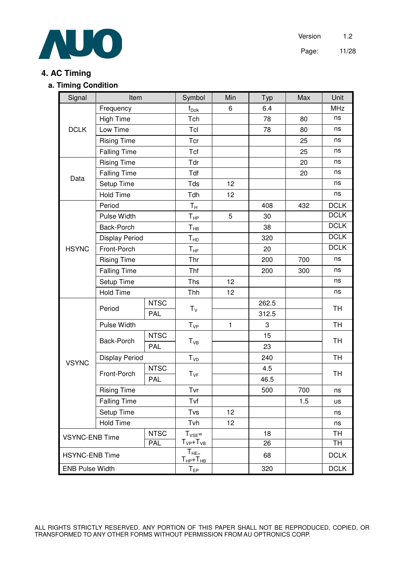

# **4. AC Timing**

#### **a. Timing Condition**

| Signal                              | Item                  |             | Symbol                           | Min | Typ   | Max       | Unit        |
|-------------------------------------|-----------------------|-------------|----------------------------------|-----|-------|-----------|-------------|
|                                     | Frequency             |             | $f_{Dclk}$                       | 6   | 6.4   |           | <b>MHz</b>  |
|                                     | <b>High Time</b>      |             | Tch                              |     | 78    | 80        | ns          |
| <b>DCLK</b>                         | Low Time              |             | Tcl                              |     | 78    | 80        | ns          |
|                                     | <b>Rising Time</b>    |             | Tcr                              |     |       | 25        | ns          |
|                                     | <b>Falling Time</b>   |             | Tcf                              |     |       | 25        | ns          |
|                                     | <b>Rising Time</b>    |             | Tdr                              |     |       | 20        | ns          |
| Data                                | <b>Falling Time</b>   |             | Tdf                              |     |       | 20        | ns          |
|                                     | Setup Time            |             | Tds                              | 12  |       |           | ns          |
|                                     | <b>Hold Time</b>      |             | Tdh                              | 12  |       |           | ns          |
|                                     | Period                |             | $T_H$                            |     | 408   | 432       | <b>DCLK</b> |
|                                     | Pulse Width           |             | $T_{HP}$                         | 5   | 30    |           | <b>DCLK</b> |
|                                     | Back-Porch            |             | $T_{HB}$                         |     | 38    |           | <b>DCLK</b> |
|                                     | <b>Display Period</b> |             | $\mathsf{T}_{\mathsf{HD}}$       |     | 320   |           | <b>DCLK</b> |
| <b>HSYNC</b>                        | Front-Porch           |             | $T_{\rm HF}$                     |     | 20    |           | <b>DCLK</b> |
|                                     | <b>Rising Time</b>    |             | Thr                              |     | 200   | 700       | ns          |
|                                     | <b>Falling Time</b>   |             | Thf                              |     | 200   | 300       | ns          |
|                                     | Setup Time            |             | Ths                              | 12  |       |           | ns          |
|                                     | <b>Hold Time</b>      |             | Thh                              | 12  |       |           | ns          |
|                                     |                       | <b>NTSC</b> |                                  |     | 262.5 |           |             |
|                                     | Period                | <b>PAL</b>  | $T_V$                            |     | 312.5 |           | <b>TH</b>   |
|                                     | Pulse Width           |             | $T_{VP}$                         | 1   | 3     |           | <b>TH</b>   |
|                                     |                       | <b>NTSC</b> |                                  |     | 15    |           |             |
|                                     | Back-Porch            | <b>PAL</b>  | $T_{VB}$                         |     | 23    |           | <b>TH</b>   |
|                                     | <b>Display Period</b> |             | $T_{VD}$                         |     | 240   |           | <b>TH</b>   |
| <b>VSYNC</b>                        |                       | <b>NTSC</b> |                                  |     | 4.5   |           |             |
|                                     | Front-Porch           | <b>PAL</b>  | $T_{VF}$                         |     | 46.5  |           | <b>TH</b>   |
|                                     | <b>Rising Time</b>    |             | Tvr                              |     | 500   | 700       | ns          |
|                                     | <b>Falling Time</b>   |             | Tvf                              |     |       | 1.5       | <b>us</b>   |
|                                     | Setup Time            |             | Tvs                              | 12  |       |           | ns          |
|                                     | <b>Hold Time</b>      |             | Tvh                              | 12  |       |           | ns          |
| <b>NTSC</b>                         |                       | $T_{VSE} =$ |                                  | 18  |       | <b>TH</b> |             |
| <b>VSYNC-ENB Time</b><br><b>PAL</b> |                       |             | $T_{VP}$ + $T_{VB}$              |     | 26    |           | TH          |
| <b>HSYNC-ENB Time</b>               |                       |             | $T_{HE=}$<br>$T_{HP}$ + $T_{HB}$ |     | 68    |           | <b>DCLK</b> |
| <b>ENB Pulse Width</b>              |                       |             | $T_{EP}$                         |     | 320   |           | <b>DCLK</b> |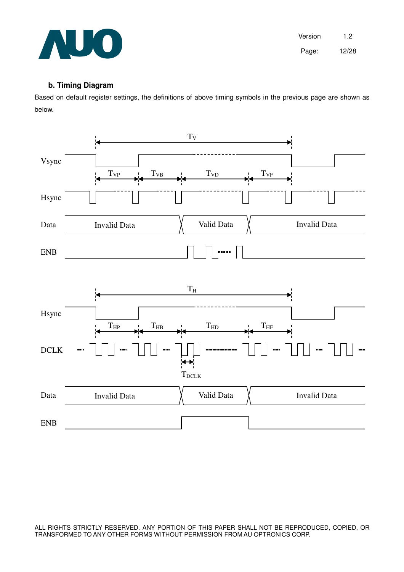

#### **b. Timing Diagram**

Based on default register settings, the definitions of above timing symbols in the previous page are shown as below.



ALL RIGHTS STRICTLY RESERVED. ANY PORTION OF THIS PAPER SHALL NOT BE REPRODUCED, COPIED, OR TRANSFORMED TO ANY OTHER FORMS WITHOUT PERMISSION FROM AU OPTRONICS CORP.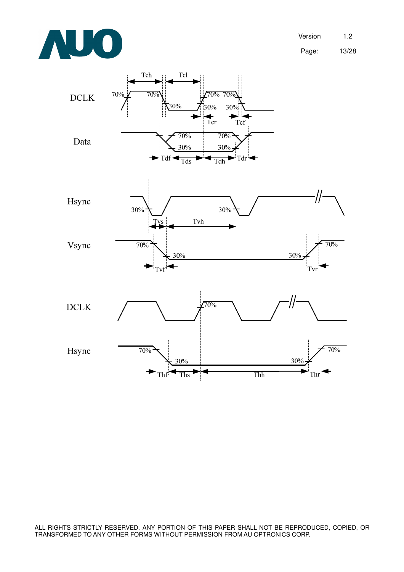



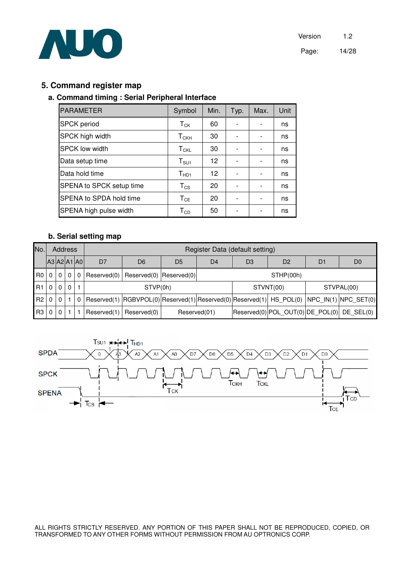

#### **5. Command register map**

#### **a. Command timing : Serial Peripheral Interface**

| <b>PARAMETER</b>         | Symbol                       | Min. | Typ. | Max. | Unit |
|--------------------------|------------------------------|------|------|------|------|
| <b>SPCK</b> period       | $T_{CK}$                     | 60   |      |      | ns   |
| <b>SPCK high width</b>   | ${\sf T}_{\sf CKH}$          | 30   |      |      | ns   |
| <b>SPCK low width</b>    | $T_{\text{CKL}}$             | 30   |      |      | ns   |
| Data setup time          | $T_{\scriptstyle\text{SU1}}$ | 12   |      |      | ns   |
| Data hold time           | $T_{HD1}$                    | 12   |      |      | ns   |
| SPENA to SPCK setup time | $T_{CS}$                     | 20   |      |      | ns   |
| SPENA to SPDA hold time  | $T_{CE}$                     | 20   |      |      | ns   |
| SPENA high pulse width   | $\mathsf{T}_{\texttt{CD}}$   | 50   |      |      | ns   |

#### **b. Serial setting map**

| No.             |                | <b>Address</b> |          |              |                | Register Data (default setting)                                                             |                |                |    |                                               |    |                |  |
|-----------------|----------------|----------------|----------|--------------|----------------|---------------------------------------------------------------------------------------------|----------------|----------------|----|-----------------------------------------------|----|----------------|--|
|                 | A3 A2 A1 A0    |                |          |              | D <sub>7</sub> | D <sub>6</sub>                                                                              | D <sub>5</sub> | D <sub>4</sub> | D3 | D <sub>2</sub>                                | D1 | D <sub>0</sub> |  |
| RO <sub>1</sub> | $\Omega$       | $\Omega$       | $\Omega$ | $\Omega$     |                | $Reserved(0)$ Reserved(0) Reserved(0)                                                       |                | STHP(00h)      |    |                                               |    |                |  |
| R1              | $\overline{0}$ | $\Omega$       | $\Omega$ | $\mathbf{1}$ |                | STVP(0h)                                                                                    |                |                |    | STVNT(00)                                     |    | STVPAL(00)     |  |
| R <sub>2</sub>  | $\overline{0}$ | $\Omega$       |          | $^{\circ}$   |                | $Reserved(1)$ RGBVPOL(0) Reserved(1) Reserved(0) Reserved(1) HS_POL(0) NPC_IN(1) NPC_SET(0) |                |                |    |                                               |    |                |  |
| R3              | $\mathbf 0$    | 0              |          |              | Reserved(1)    | Reserved(0)                                                                                 | Reserved(01)   |                |    | $ Reserved(0) POL$ OUT(0) DE POL(0) DE SEL(0) |    |                |  |

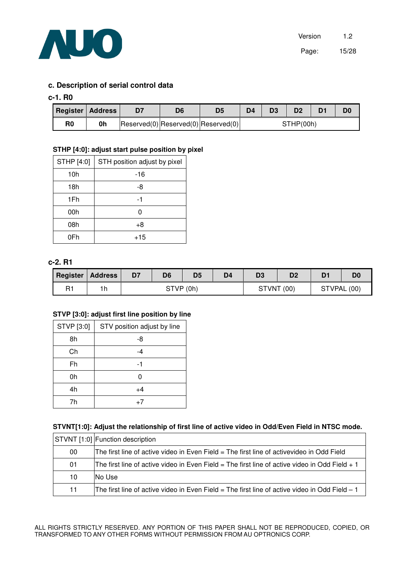

#### **c. Description of serial control data**

#### **c-1. R0**

| <b>Register Address</b> |    | D6 |                                                 | D4        | D3 | D <sub>2</sub> |  | D0 |
|-------------------------|----|----|-------------------------------------------------|-----------|----|----------------|--|----|
| R <sub>0</sub>          | 0h |    | $ Reserved(0) $ Reserved $(0) $ Reserved $(0) $ | STHP(00h) |    |                |  |    |

#### **STHP [4:0]: adjust start pulse position by pixel**

| STHP [4:0] | STH position adjust by pixel |
|------------|------------------------------|
| 10h        | -16                          |
| 18h        | -8                           |
| 1Fh        | -1                           |
| 00h        | Ω                            |
| 08h        | $+8$                         |
| 0Fh        | $+15$                        |

#### **c-2. R1**

|    | Register   Address | D7 | D <sub>6</sub> | D <sub>5</sub> | D4 | D3         | D <sub>2</sub> | D1          |  |
|----|--------------------|----|----------------|----------------|----|------------|----------------|-------------|--|
| R1 | 1h                 |    | STVP (0h)      |                |    | STVNT (00) |                | STVPAL (00) |  |

#### **STVP [3:0]: adjust first line position by line**

| STVP [3:0] | STV position adjust by line |
|------------|-----------------------------|
| 8h         | -8                          |
| Ch         | -4                          |
| Fh         | -1                          |
| 0h         | ი                           |
| 4h         | +4                          |
| 7h         | $+7$                        |

#### **STVNT[1:0]: Adjust the relationship of first line of active video in Odd/Even Field in NTSC mode.**

|    | STVNT [1:0] Function description                                                                |
|----|-------------------------------------------------------------------------------------------------|
| 00 | The first line of active video in Even Field = The first line of activevideo in Odd Field       |
| 01 | The first line of active video in Even Field = The first line of active video in Odd Field $+1$ |
| 10 | INo Use                                                                                         |
| 11 | The first line of active video in Even Field = The first line of active video in Odd Field – 1  |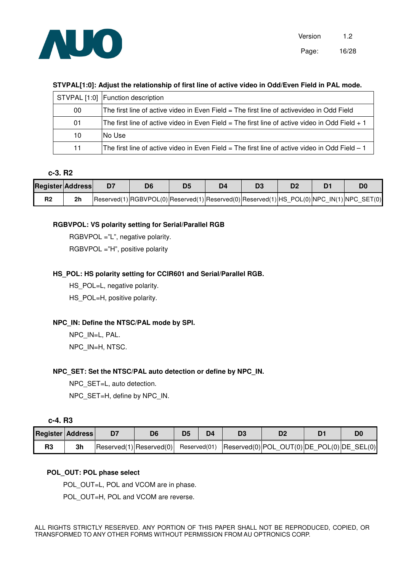

#### **STVPAL[1:0]: Adjust the relationship of first line of active video in Odd/Even Field in PAL mode.**

|    | STVPAL [1:0] Function description                                                                 |
|----|---------------------------------------------------------------------------------------------------|
| 00 | The first line of active video in Even Field = The first line of activevideo in Odd Field         |
| 01 | The first line of active video in Even Field $=$ The first line of active video in Odd Field $+1$ |
| 10 | INo Use                                                                                           |
| 11 | The first line of active video in Even Field $=$ The first line of active video in Odd Field $-1$ |

#### **c-3. R2**

|                | <b>Register Address</b> |                                                                                           | D4 | D <sub>2</sub> |  |
|----------------|-------------------------|-------------------------------------------------------------------------------------------|----|----------------|--|
| R <sub>2</sub> | 2 <sub>h</sub>          | Reserved(1) RGBVPOL(0) Reserved(1) Reserved(0) Reserved(1) HS_POL(0) NPC_IN(1) NPC_SET(0) |    |                |  |

#### **RGBVPOL: VS polarity setting for Serial/Parallel RGB**

RGBVPOL ="L", negative polarity. RGBVPOL ="H", positive polarity

#### **HS\_POL: HS polarity setting for CCIR601 and Serial/Parallel RGB.**

HS\_POL=L, negative polarity. HS\_POL=H, positive polarity.

#### **NPC\_IN: Define the NTSC/PAL mode by SPI.**

NPC\_IN=L, PAL. NPC\_IN=H, NTSC.

#### **NPC\_SET: Set the NTSC/PAL auto detection or define by NPC\_IN.**

NPC SET=L, auto detection. NPC\_SET=H, define by NPC\_IN.

| <b>Register Address</b> |    | D6                              |  |                                                          |  |
|-------------------------|----|---------------------------------|--|----------------------------------------------------------|--|
| R <sub>3</sub>          | 3h | $ Research(1) $ Reserved(0) $ $ |  | Reserved(01)  Reserved(0) POL_OUT(0) DE_POL(0) DE_SEL(0) |  |

#### **POL\_OUT: POL phase select**

POL\_OUT=L, POL and VCOM are in phase.

POL\_OUT=H, POL and VCOM are reverse.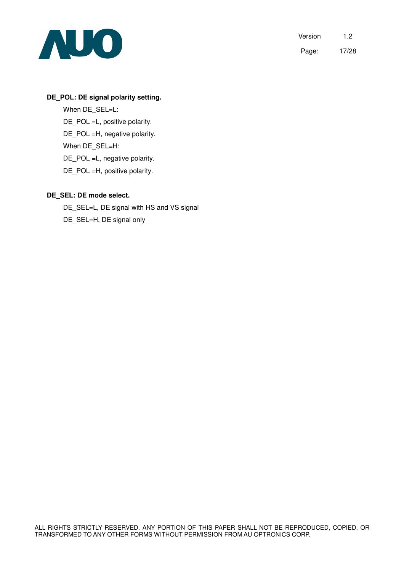

#### **DE\_POL: DE signal polarity setting.**

When DE\_SEL=L: DE\_POL =L, positive polarity. DE\_POL =H, negative polarity. When DE\_SEL=H: DE\_POL =L, negative polarity. DE\_POL =H, positive polarity.

#### **DE\_SEL: DE mode select.**

DE\_SEL=L, DE signal with HS and VS signal DE\_SEL=H, DE signal only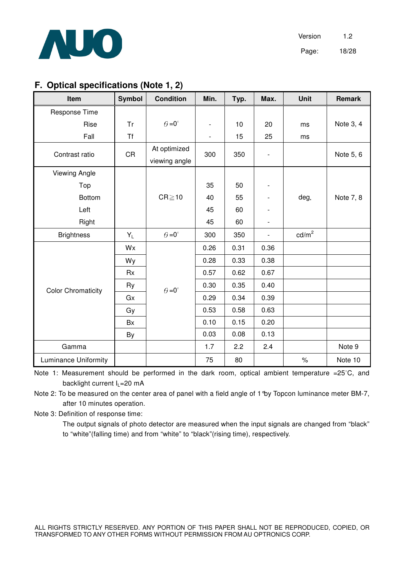

Version 1.2 Page: 18/28

# **F. Optical specifications (Note 1, 2)**

| Item                        | <b>Symbol</b> | <b>Condition</b>     | Min.                         | Typ. | Max.                     | <b>Unit</b>     | <b>Remark</b> |
|-----------------------------|---------------|----------------------|------------------------------|------|--------------------------|-----------------|---------------|
| Response Time               |               |                      |                              |      |                          |                 |               |
| Rise                        | <b>Tr</b>     | $\theta = 0^{\circ}$ | $\qquad \qquad \blacksquare$ | 10   | 20                       | ms              | Note 3, 4     |
| Fall                        | <b>Tf</b>     |                      | $\overline{\phantom{a}}$     | 15   | 25                       | ms              |               |
| Contrast ratio              | <b>CR</b>     | At optimized         | 300                          | 350  |                          |                 | Note 5, 6     |
|                             |               | viewing angle        |                              |      |                          |                 |               |
| <b>Viewing Angle</b>        |               |                      |                              |      |                          |                 |               |
| Top                         |               |                      | 35                           | 50   | $\overline{\phantom{a}}$ |                 |               |
| <b>Bottom</b>               |               | $CR \ge 10$          | 40                           | 55   | $\overline{\phantom{a}}$ | deg.            | Note 7, 8     |
| Left                        |               |                      | 45                           | 60   |                          |                 |               |
| Right                       |               |                      | 45                           | 60   | $\overline{\phantom{a}}$ |                 |               |
| <b>Brightness</b>           | $Y_L$         | $\theta = 0^{\circ}$ | 300                          | 350  | $\overline{\phantom{a}}$ | $\text{cd/m}^2$ |               |
|                             | Wx            |                      | 0.26                         | 0.31 | 0.36                     |                 |               |
|                             | Wy            |                      | 0.28                         | 0.33 | 0.38                     |                 |               |
|                             | <b>Rx</b>     |                      | 0.57                         | 0.62 | 0.67                     |                 |               |
| <b>Color Chromaticity</b>   | Ry            | $\theta = 0^{\circ}$ | 0.30                         | 0.35 | 0.40                     |                 |               |
|                             | Gx            |                      | 0.29                         | 0.34 | 0.39                     |                 |               |
|                             | Gy            |                      | 0.53                         | 0.58 | 0.63                     |                 |               |
|                             | Bx            |                      | 0.10                         | 0.15 | 0.20                     |                 |               |
|                             | By            |                      | 0.03                         | 0.08 | 0.13                     |                 |               |
| Gamma                       |               |                      | 1.7                          | 2.2  | 2.4                      |                 | Note 9        |
| <b>Luminance Uniformity</b> |               |                      | 75                           | 80   |                          | $\%$            | Note 10       |

Note 1: Measurement should be performed in the dark room, optical ambient temperature =25°C, and backlight current  $I_1$ =20 mA

Note 2: To be measured on the center area of panel with a field angle of 1°by Topcon luminance meter BM-7, after 10 minutes operation.

Note 3: Definition of response time:

 The output signals of photo detector are measured when the input signals are changed from "black" to "white"(falling time) and from "white" to "black"(rising time), respectively.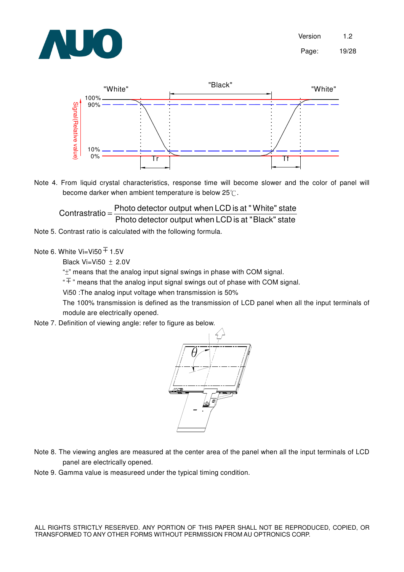



Note 4. From liquid crystal characteristics, response time will become slower and the color of panel will become darker when ambient temperature is below  $25^{\circ}$ .

Photo detector output when LCD is at "Black" state  $\text{Contrast}$ ratio =  $\frac{\text{Photo detector output when LCD}}{\text{Left } \text{C}}$  is at "White" state

Note 5. Contrast ratio is calculated with the following formula.

Note 6. White Vi=Vi50  $\overline{+}$  1.5V

Black Vi=Vi50  $\pm$  2.0V

" $\pm$ " means that the analog input signal swings in phase with COM signal.

 $\overline{F}$  " means that the analog input signal swings out of phase with COM signal.

Vi50 :The analog input voltage when transmission is 50%

 The 100% transmission is defined as the transmission of LCD panel when all the input terminals of module are electrically opened.

Note 7. Definition of viewing angle: refer to figure as below.



- Note 8. The viewing angles are measured at the center area of the panel when all the input terminals of LCD panel are electrically opened.
- Note 9. Gamma value is measureed under the typical timing condition.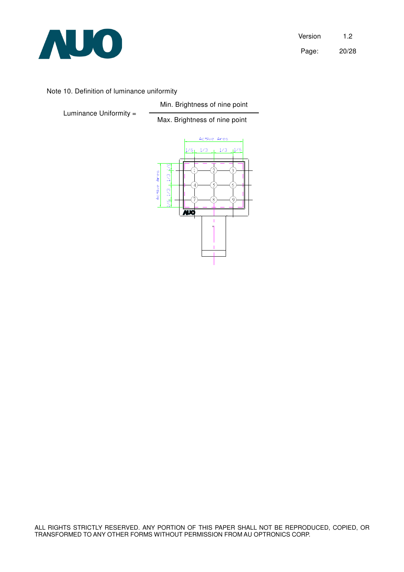

Version 1.2 Page: 20/28

#### Note 10. Definition of luminance uniformity

Luminance Uniformity =

 Min. Brightness of nine point Max. Brightness of nine point

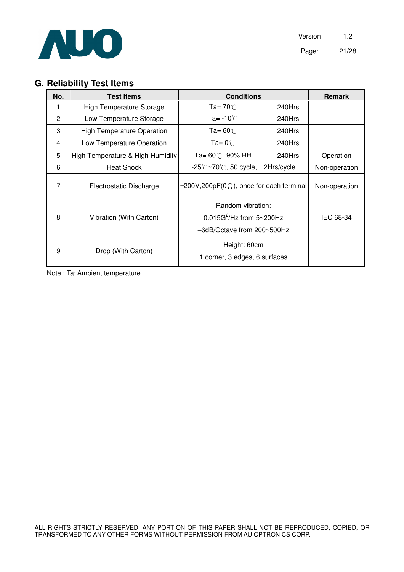

# **G. Reliability Test Items**

| No.            | <b>Test items</b>                 | <b>Conditions</b>                                                              |               | <b>Remark</b> |
|----------------|-----------------------------------|--------------------------------------------------------------------------------|---------------|---------------|
|                | <b>High Temperature Storage</b>   | Ta= $70^{\circ}$ C                                                             | 240Hrs        |               |
| $\overline{2}$ | Low Temperature Storage           | Ta= -10 $\degree$ C                                                            | $240$ Hrs     |               |
| 3              | <b>High Temperature Operation</b> | Ta= $60^{\circ}$ C                                                             | 240Hrs        |               |
| 4              | Low Temperature Operation         | $Ta = 0^{\circ}$                                                               | 240Hrs        |               |
| 5              | High Temperature & High Humidity  | Ta= 60℃. 90% RH                                                                | 240Hrs        | Operation     |
| 6              | <b>Heat Shock</b>                 | $-25^{\circ}$ C $\sim$ 70 $^{\circ}$ C, 50 cycle,                              | 2Hrs/cycle    | Non-operation |
| 7              | Electrostatic Discharge           | $\pm 200V, 200pF(0\Omega)$ , once for each terminal                            | Non-operation |               |
| 8              | Vibration (With Carton)           | Random vibration:<br>$0.015G^2$ /Hz from 5~200Hz<br>-6dB/Octave from 200~500Hz | IEC 68-34     |               |
| 9              | Drop (With Carton)                | Height: 60cm<br>1 corner, 3 edges, 6 surfaces                                  |               |               |

Note : Ta: Ambient temperature.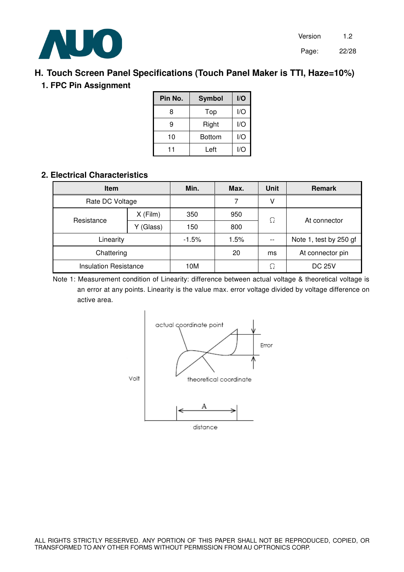

# **H. Touch Screen Panel Specifications (Touch Panel Maker is TTI, Haze=10%)**

# **1. FPC Pin Assignment**

| Pin No. | <b>Symbol</b> | I/O |
|---------|---------------|-----|
| 8       | Top           | I/O |
| 9       | Right         | I/O |
| 10      | <b>Bottom</b> | I/O |
| 11      | Left          | l/O |

# **2. Electrical Characteristics**

| <b>Item</b>                  |            | Min.    | Max. | <b>Unit</b> | <b>Remark</b>          |
|------------------------------|------------|---------|------|-------------|------------------------|
| Rate DC Voltage              |            |         |      |             |                        |
| Resistance                   | $X$ (Film) | 350     | 950  | Ω           | At connector           |
|                              | (Glass)    | 150     | 800  |             |                        |
| Linearity                    |            | $-1.5%$ | 1.5% |             | Note 1, test by 250 gf |
| Chattering                   |            |         | 20   | ms          | At connector pin       |
| <b>Insulation Resistance</b> |            | 10M     |      | Ω           | <b>DC 25V</b>          |

Note 1: Measurement condition of Linearity: difference between actual voltage & theoretical voltage is an error at any points. Linearity is the value max. error voltage divided by voltage difference on active area.

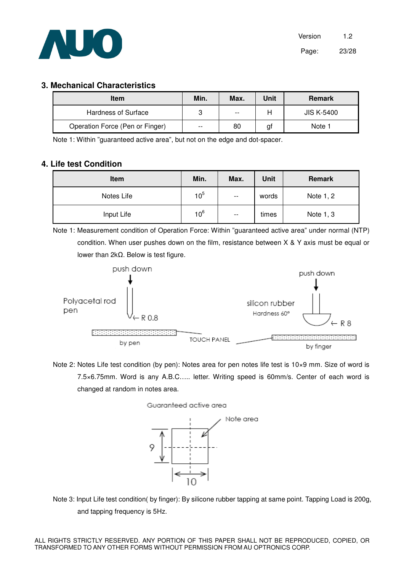

#### **3. Mechanical Characteristics**

| <b>Item</b>                     | Min.  | Max.  | Unit | <b>Remark</b>     |
|---------------------------------|-------|-------|------|-------------------|
| Hardness of Surface             | 3     | $- -$ |      | <b>JIS K-5400</b> |
| Operation Force (Pen or Finger) | $- -$ | 80    | gt   | Note 1            |

Note 1: Within "guaranteed active area", but not on the edge and dot-spacer.

#### **4. Life test Condition**

| Item       | Min.            | Max.                     | Unit  | <b>Remark</b> |
|------------|-----------------|--------------------------|-------|---------------|
| Notes Life | 10 <sup>5</sup> | $\overline{\phantom{a}}$ | words | Note 1, 2     |
| Input Life | 10 <sup>6</sup> | $\overline{\phantom{a}}$ | times | Note 1, 3     |

Note 1: Measurement condition of Operation Force: Within "guaranteed active area" under normal (NTP) condition. When user pushes down on the film, resistance between X & Y axis must be equal or lower than 2kΩ. Below is test figure.



Note 2: Notes Life test condition (by pen): Notes area for pen notes life test is 10×9 mm. Size of word is 7.5×6.75mm. Word is any A.B.C….. letter. Writing speed is 60mm/s. Center of each word is changed at random in notes area.





Note 3: Input Life test condition( by finger): By silicone rubber tapping at same point. Tapping Load is 200g, and tapping frequency is 5Hz.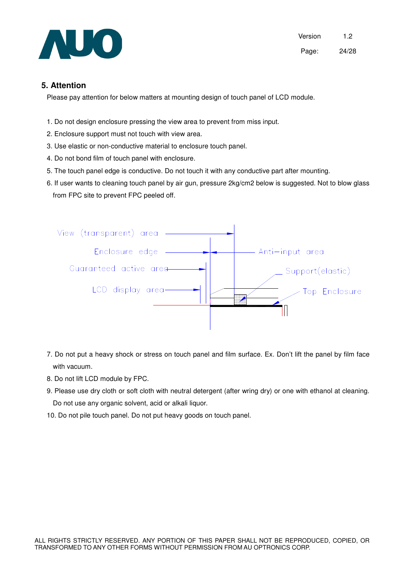

#### **5. Attention**

Please pay attention for below matters at mounting design of touch panel of LCD module.

- 1. Do not design enclosure pressing the view area to prevent from miss input.
- 2. Enclosure support must not touch with view area.
- 3. Use elastic or non-conductive material to enclosure touch panel.
- 4. Do not bond film of touch panel with enclosure.
- 5. The touch panel edge is conductive. Do not touch it with any conductive part after mounting.
- 6. If user wants to cleaning touch panel by air gun, pressure 2kg/cm2 below is suggested. Not to blow glass from FPC site to prevent FPC peeled off.



- 7. Do not put a heavy shock or stress on touch panel and film surface. Ex. Don't lift the panel by film face with vacuum.
- 8. Do not lift LCD module by FPC.
- 9. Please use dry cloth or soft cloth with neutral detergent (after wring dry) or one with ethanol at cleaning. Do not use any organic solvent, acid or alkali liquor.
- 10. Do not pile touch panel. Do not put heavy goods on touch panel.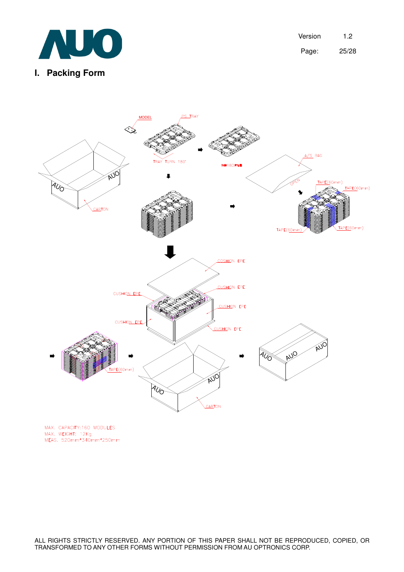

Version 1.2 Page: 25/28



MAX. CAPACITY:160 MODULES MAX. CALACTITION MODULLS<br>MAX. WEIGHT: 12Kg<br>MEAS. 520mm\*340mm\*250mm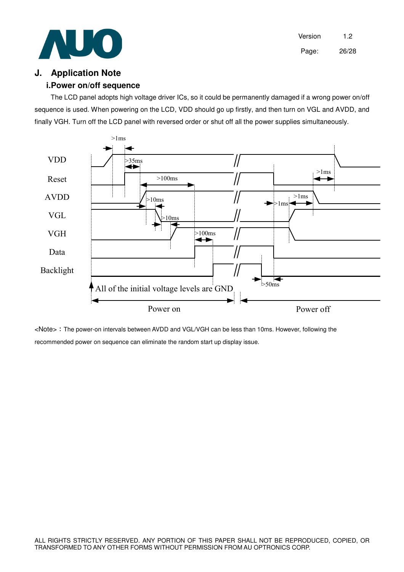

Version 1.2 Page: 26/28

### **J. Application Note**

#### **i. Power on/off sequence**

The LCD panel adopts high voltage driver ICs, so it could be permanently damaged if a wrong power on/off sequence is used. When powering on the LCD, VDD should go up firstly, and then turn on VGL and AVDD, and finally VGH. Turn off the LCD panel with reversed order or shut off all the power supplies simultaneously.



<Note> The power-on intervals between AVDD and VGL/VGH can be less than 10ms. However, following the recommended power on sequence can eliminate the random start up display issue.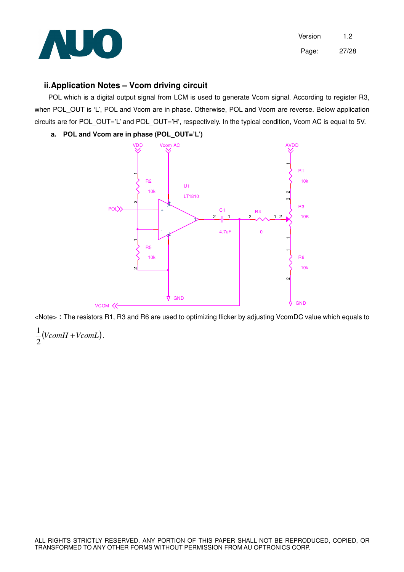

#### **ii. Application Notes – Vcom driving circuit**

 POL which is a digital output signal from LCM is used to generate Vcom signal. According to register R3, when POL OUT is 'L', POL and Vcom are in phase. Otherwise, POL and Vcom are reverse. Below application circuits are for POL\_OUT='L' and POL\_OUT='H', respectively. In the typical condition, Vcom AC is equal to 5V.

#### **a. POL and Vcom are in phase (POL\_OUT='L')**



<Note> The resistors R1, R3 and R6 are used to optimizing flicker by adjusting VcomDC value which equals to ( ) *VcomH* +*VcomL* 2  $\frac{1}{2}(VcomH + VcomL)$ .